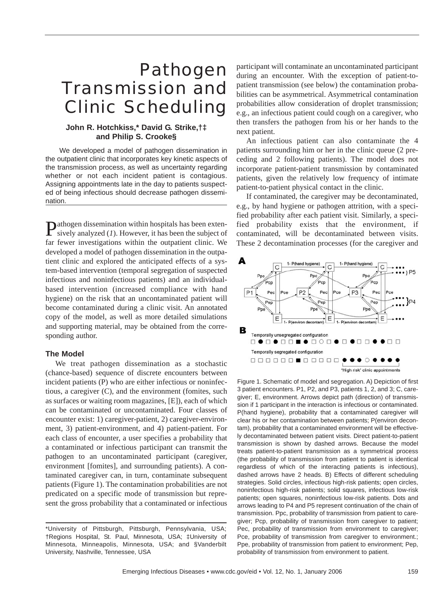# Pathogen Transmission and Clinic Scheduling

## **John R. Hotchkiss,\* David G. Strike,†‡ and Philip S. Crooke§**

We developed a model of pathogen dissemination in the outpatient clinic that incorporates key kinetic aspects of the transmission process, as well as uncertainty regarding whether or not each incident patient is contagious. Assigning appointments late in the day to patients suspected of being infectious should decrease pathogen dissemination.

Pathogen dissemination within hospitals has been exten-sively analyzed (*1*). However, it has been the subject of far fewer investigations within the outpatient clinic. We developed a model of pathogen dissemination in the outpatient clinic and explored the anticipated effects of a system-based intervention (temporal segregation of suspected infectious and noninfectious patients) and an individualbased intervention (increased compliance with hand hygiene) on the risk that an uncontaminated patient will become contaminated during a clinic visit. An annotated copy of the model, as well as more detailed simulations and supporting material, may be obtained from the corresponding author.

## **The Model**

We treat pathogen dissemination as a stochastic (chance-based) sequence of discrete encounters between incident patients (P) who are either infectious or noninfectious, a caregiver (C), and the environment (fomites, such as surfaces or waiting room magazines, [E]), each of which can be contaminated or uncontaminated. Four classes of encounter exist: 1) caregiver-patient, 2) caregiver-environment, 3) patient-environment, and 4) patient-patient. For each class of encounter, a user specifies a probability that a contaminated or infectious participant can transmit the pathogen to an uncontaminated participant (caregiver, environment [fomites], and surrounding patients). A contaminated caregiver can, in turn, contaminate subsequent patients (Figure 1). The contamination probabilities are not predicated on a specific mode of transmission but represent the gross probability that a contaminated or infectious participant will contaminate an uncontaminated participant during an encounter. With the exception of patient-topatient transmission (see below) the contamination probabilities can be asymmetrical. Asymmetrical contamination probabilities allow consideration of droplet transmission; e.g., an infectious patient could cough on a caregiver, who then transfers the pathogen from his or her hands to the next patient.

An infectious patient can also contaminate the 4 patients surrounding him or her in the clinic queue (2 preceding and 2 following patients). The model does not incorporate patient-patient transmission by contaminated patients, given the relatively low frequency of intimate patient-to-patient physical contact in the clinic.

If contaminated, the caregiver may be decontaminated, e.g., by hand hygiene or pathogen attrition, with a specified probability after each patient visit. Similarly, a specified probability exists that the environment, if contaminated, will be decontaminated between visits. These 2 decontamination processes (for the caregiver and



Figure 1. Schematic of model and segregation. A) Depiction of first 3 patient encounters. P1, P2, and P3, patients 1, 2, and 3; C, caregiver; E, environment. Arrows depict path (direction) of transmission if 1 participant in the interaction is infectious or contaminated. P(hand hygiene), probability that a contaminated caregiver will clear his or her contamination between patients; P(environ decontam), probability that a contaminated environment will be effectively decontaminated between patient visits. Direct patient-to-patient transmission is shown by dashed arrows. Because the model treats patient-to-patient transmission as a symmetrical process (the probability of transmission from patient to patient is identical regardless of which of the interacting patients is infectious), dashed arrows have 2 heads. B) Effects of different scheduling strategies. Solid circles, infectious high-risk patients; open circles, noninfectious high-risk patients; solid squares, infectious low-risk patients; open squares, noninfectious low-risk patients. Dots and arrows leading to P4 and P5 represent continuation of the chain of transmission. Ppc, probability of transmission from patient to caregiver; Pcp, probability of transmission from caregiver to patient; Pec, probability of transmission from environment to caregiver; Pce, probability of transmission from caregiver to environment.; Ppe, probability of transmission from patient to environment; Pep, probability of transmission from environment to patient.

<sup>\*</sup>University of Pittsburgh, Pittsburgh, Pennsylvania, USA; †Regions Hospital, St. Paul, Minnesota, USA; ‡University of Minnesota, Minneapolis, Minnesota, USA; and §Vanderbilt University, Nashville, Tennessee, USA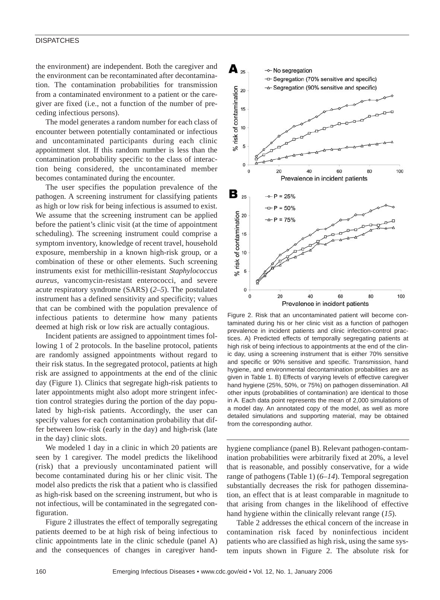#### **DISPATCHES**

the environment) are independent. Both the caregiver and the environment can be recontaminated after decontamination. The contamination probabilities for transmission from a contaminated environment to a patient or the caregiver are fixed (i.e., not a function of the number of preceding infectious persons).

The model generates a random number for each class of encounter between potentially contaminated or infectious and uncontaminated participants during each clinic appointment slot. If this random number is less than the contamination probability specific to the class of interaction being considered, the uncontaminated member becomes contaminated during the encounter.

The user specifies the population prevalence of the pathogen. A screening instrument for classifying patients as high or low risk for being infectious is assumed to exist. We assume that the screening instrument can be applied before the patient's clinic visit (at the time of appointment scheduling). The screening instrument could comprise a symptom inventory, knowledge of recent travel, household exposure, membership in a known high-risk group, or a combination of these or other elements. Such screening instruments exist for methicillin-resistant *Staphylococcus aureus*, vancomycin-resistant enterococci, and severe acute respiratory syndrome (SARS) (*2–5*). The postulated instrument has a defined sensitivity and specificity; values that can be combined with the population prevalence of infectious patients to determine how many patients deemed at high risk or low risk are actually contagious.

Incident patients are assigned to appointment times following 1 of 2 protocols. In the baseline protocol, patients are randomly assigned appointments without regard to their risk status. In the segregated protocol, patients at high risk are assigned to appointments at the end of the clinic day (Figure 1). Clinics that segregate high-risk patients to later appointments might also adopt more stringent infection control strategies during the portion of the day populated by high-risk patients. Accordingly, the user can specify values for each contamination probability that differ between low-risk (early in the day) and high-risk (late in the day) clinic slots.

We modeled 1 day in a clinic in which 20 patients are seen by 1 caregiver. The model predicts the likelihood (risk) that a previously uncontaminated patient will become contaminated during his or her clinic visit. The model also predicts the risk that a patient who is classified as high-risk based on the screening instrument, but who is not infectious, will be contaminated in the segregated configuration.

Figure 2 illustrates the effect of temporally segregating patients deemed to be at high risk of being infectious to clinic appointments late in the clinic schedule (panel A) and the consequences of changes in caregiver hand-



Figure 2. Risk that an uncontaminated patient will become contaminated during his or her clinic visit as a function of pathogen prevalence in incident patients and clinic infection-control practices. A) Predicted effects of temporally segregating patients at high risk of being infectious to appointments at the end of the clinic day, using a screening instrument that is either 70% sensitive and specific or 90% sensitive and specific. Transmission, hand hygiene, and environmental decontamination probabilities are as given in Table 1. B) Effects of varying levels of effective caregiver hand hygiene (25%, 50%, or 75%) on pathogen dissemination. All other inputs (probabilities of contamination) are identical to those in A. Each data point represents the mean of 2,000 simulations of a model day. An annotated copy of the model, as well as more detailed simulations and supporting material, may be obtained from the corresponding author.

hygiene compliance (panel B). Relevant pathogen-contamination probabilities were arbitrarily fixed at 20%, a level that is reasonable, and possibly conservative, for a wide range of pathogens (Table 1) (*6–14*). Temporal segregation substantially decreases the risk for pathogen dissemination, an effect that is at least comparable in magnitude to that arising from changes in the likelihood of effective hand hygiene within the clinically relevant range (*15*).

Table 2 addresses the ethical concern of the increase in contamination risk faced by noninfectious incident patients who are classified as high risk, using the same system inputs shown in Figure 2. The absolute risk for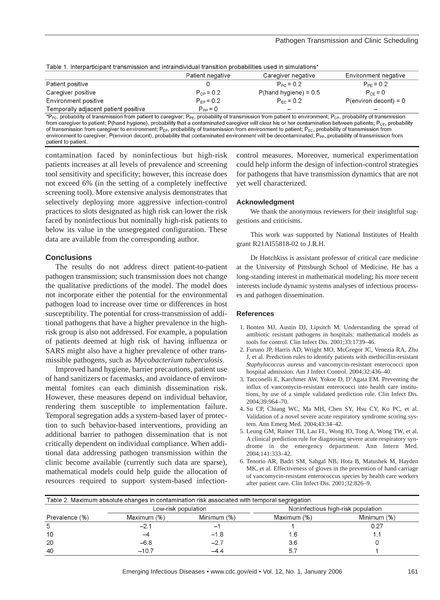|                                      | Patient negative | Caregiver negative       | Environment negative        |  |  |  |  |
|--------------------------------------|------------------|--------------------------|-----------------------------|--|--|--|--|
| Patient positive                     |                  | $P_{PC} = 0.2$           | $P_{PF} = 0.2$              |  |  |  |  |
| Caregiver positive                   | $P_{CP} = 0.2$   | $P$ (hand hygiene) = 0.5 | $P_{CF} = 0$                |  |  |  |  |
| Environment positive                 | $P_{FP} = 0.2$   | $P_{FC} = 0.2$           | $P($ environ decont $) = 0$ |  |  |  |  |
| Temporally adjacent patient positive | $P_{PP} = 0$     |                          |                             |  |  |  |  |

|  |  |  | Table 1. Interparticipant transmission and intraindividual transition probabilities used in simulations* |
|--|--|--|----------------------------------------------------------------------------------------------------------|
|  |  |  |                                                                                                          |

\*P<sub>PC</sub>, probability of transmission from patient to caregiver; P<sub>PE</sub>, probability of transmission from patient to environment; P<sub>CP</sub>, probability of transmission from caregiver to patient; P(hand hygiene), probability that a contaminated caregiver will clear his or her contamination between patients;  $P_{CE}$ , probability of transmission from caregiver to environment; P<sub>EP</sub>, probability of transmission from environment to patient; P<sub>EC</sub>, probability of transmission from environment to caregiver; P(environ decont), probability that contaminated environment will be decontaminated; P<sub>PP</sub>, probability of transmission from patient to patient.

contamination faced by noninfectious but high-risk patients increases at all levels of prevalence and screening tool sensitivity and specificity; however, this increase does not exceed 6% (in the setting of a completely ineffective screening tool). More extensive analysis demonstrates that selectively deploying more aggressive infection-control practices to slots designated as high risk can lower the risk faced by noninfectious but nominally high-risk patients to below its value in the unsegregated configuration. These data are available from the corresponding author.

### **Conclusions**

The results do not address direct patient-to-patient pathogen transmission; such transmission does not change the qualitative predictions of the model. The model does not incorporate either the potential for the environmental pathogen load to increase over time or differences in host susceptibility. The potential for cross-transmission of additional pathogens that have a higher prevalence in the highrisk group is also not addressed. For example, a population of patients deemed at high risk of having influenza or SARS might also have a higher prevalence of other transmissible pathogens, such as *Mycobacterium tuberculosis*.

Improved hand hygiene, barrier precautions, patient use of hand sanitizers or facemasks, and avoidance of environmental fomites can each diminish dissemination risk. However, these measures depend on individual behavior, rendering them susceptible to implementation failure. Temporal segregation adds a system-based layer of protection to such behavior-based interventions, providing an additional barrier to pathogen dissemination that is not critically dependent on individual compliance. When additional data addressing pathogen transmission within the clinic become available (currently such data are sparse), mathematical models could help guide the allocation of resources required to support system-based infectioncontrol measures. Moreover, numerical experimentation could help inform the design of infection-control strategies for pathogens that have transmission dynamics that are not yet well characterized.

#### **Acknowledgment**

We thank the anonymous reviewers for their insightful suggestions and criticisms.

This work was supported by National Institutes of Health grant R21AI55818-02 to J.R.H.

Dr Hotchkiss is assistant professor of critical care medicine at the University of Pittsburgh School of Medicine. He has a long-standing interest in mathematical modeling; his more recent interests include dynamic systems analyses of infectious processes and pathogen dissemination.

#### **References**

- 1. Bonten MJ, Austin DJ, Lipsitch M. Understanding the spread of antibiotic resistant pathogens in hospitals: mathematical models as tools for control. Clin Infect Dis. 2001;33:1739–46.
- 2. Furuno JP, Harris AD, Wright MO, McGregor JC, Venezia RA, Zhu J, et al. Prediction rules to identify patients with methicillin-resistant *Staphylococcus aureus* and vancomycin-resistant enterococci upon hospital admission. Am J Infect Control. 2004;32:436–40.
- 3. Tacconelli E, Karchmer AW, Yokoe D, D'Agata EM. Preventing the influx of vancomycin-resistant enterococci into health care institutions, by use of a simple validated prediction rule. Clin Infect Dis. 2004;39:964–70.
- 4. Su CP, Chiang WC, Ma MH, Chen SY, Hsu CY, Ko PC, et al. Validation of a novel severe acute respiratory syndrome scoring system. Ann Emerg Med. 2004;43:34–42.
- 5. Leung GM, Rainer TH, Lau FL, Wong IO, Tong A, Wong TW, et al. A clinical prediction rule for diagnosing severe acute respiratory syndrome in the emergency department. Ann Intern Med. 2004;141:333–42.
- 6. Tenorio AR, Badri SM, Sahgal NB, Hota B, Matushek M, Hayden MK, et al. Effectiveness of gloves in the prevention of hand carriage of vancomycin-resistant enterococcus species by health care workers after patient care. Clin Infect Dis. 2001;32:826–9.

| Table 2. Maximum absolute changes in contamination risk associated with temporal segregation |                     |             |                                    |             |  |  |  |
|----------------------------------------------------------------------------------------------|---------------------|-------------|------------------------------------|-------------|--|--|--|
|                                                                                              | Low-risk population |             | Noninfectious high-risk population |             |  |  |  |
| Prevalence (%)                                                                               | Maximum (%)         | Minimum (%) | Maximum (%)                        | Minimum (%) |  |  |  |
| 5                                                                                            | $-2.1$              |             |                                    | 0.27        |  |  |  |
| 10                                                                                           | -4                  | $-1.8$      | .6                                 | 1.1         |  |  |  |
| 20                                                                                           | $-6.8$              | $-2.7$      | 3.6                                |             |  |  |  |
| 40                                                                                           | $-10.7$             | $-44$       |                                    |             |  |  |  |